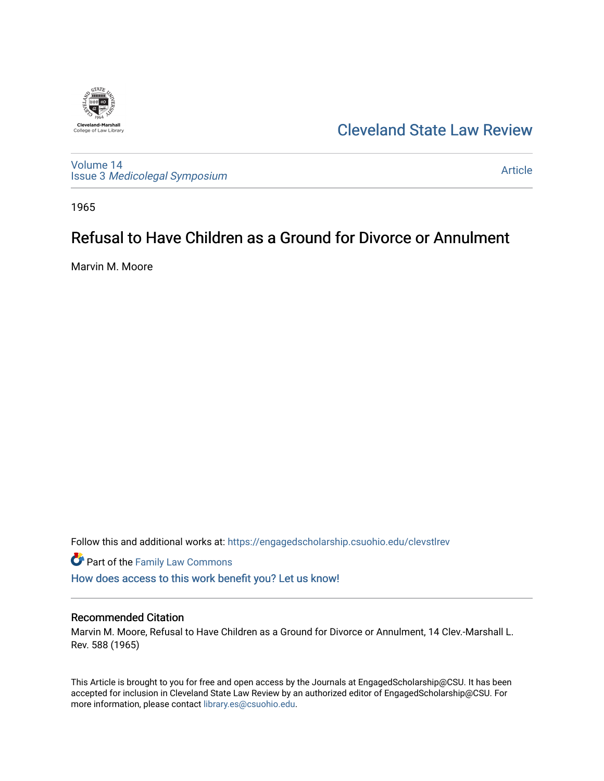

[Cleveland State Law Review](https://engagedscholarship.csuohio.edu/clevstlrev) 

[Volume 14](https://engagedscholarship.csuohio.edu/clevstlrev/vol14) Issue 3 [Medicolegal Symposium](https://engagedscholarship.csuohio.edu/clevstlrev/vol14/iss3) 

[Article](https://engagedscholarship.csuohio.edu/clevstlrev/vol14/iss3/16) 

1965

## Refusal to Have Children as a Ground for Divorce or Annulment

Marvin M. Moore

Follow this and additional works at: [https://engagedscholarship.csuohio.edu/clevstlrev](https://engagedscholarship.csuohio.edu/clevstlrev?utm_source=engagedscholarship.csuohio.edu%2Fclevstlrev%2Fvol14%2Fiss3%2F16&utm_medium=PDF&utm_campaign=PDFCoverPages)

Part of the [Family Law Commons](http://network.bepress.com/hgg/discipline/602?utm_source=engagedscholarship.csuohio.edu%2Fclevstlrev%2Fvol14%2Fiss3%2F16&utm_medium=PDF&utm_campaign=PDFCoverPages) 

[How does access to this work benefit you? Let us know!](http://library.csuohio.edu/engaged/)

## Recommended Citation

Marvin M. Moore, Refusal to Have Children as a Ground for Divorce or Annulment, 14 Clev.-Marshall L. Rev. 588 (1965)

This Article is brought to you for free and open access by the Journals at EngagedScholarship@CSU. It has been accepted for inclusion in Cleveland State Law Review by an authorized editor of EngagedScholarship@CSU. For more information, please contact [library.es@csuohio.edu](mailto:library.es@csuohio.edu).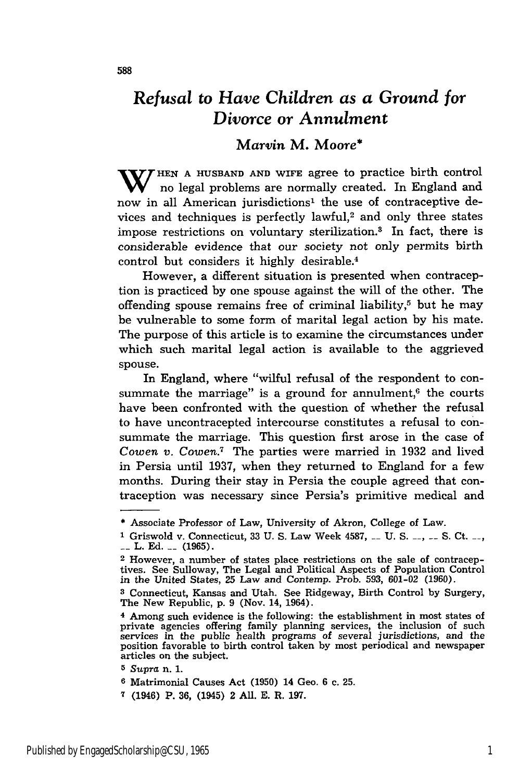## *Refusal to Have Children as a Ground for Divorce or Annulment*

## *Marvin* M. Moore\*

W/HEN A HUSBAND AND WIFE agree to practice birth control no legal problems are normally created. In England and now in all American jurisdictions' the use of contraceptive devices and techniques is perfectly lawful,<sup>2</sup> and only three states impose restrictions on voluntary sterilization.<sup>3</sup> In fact, there is considerable evidence that our society not only permits birth control but considers it highly desirable.4

However, a different situation is presented when contraception is practiced **by** one spouse against the will of the other. The offending spouse remains free of criminal liability, $5$  but he may be vulnerable to some form of marital legal action **by** his mate. The purpose of this article is to examine the circumstances under which such marital legal action is available to the aggrieved spouse.

In England, where "wilful refusal of the respondent to consummate the marriage" is a ground for annulment, $6$  the courts have been confronted with the question of whether the refusal to have uncontracepted intercourse constitutes a refusal to consummate the marriage. This question first arose in the case of *Cowen v. Cowen.7* The parties were married in **1932** and lived in Persia until **1937,** when they returned to England for a few months. During their stay in Persia the couple agreed that contraception was necessary since Persia's primitive medical and

**5** *Supra* n. 1.

**6** Matrimonial Causes Act (1950) 14 Geo. 6 c. 25.

<sup>\*</sup> Associate Professor of Law, University of Akron, College of Law.

<sup>1</sup> Griswold v. Connecticut, 33 U. S. Law Week 4587, <sub>--</sub> U. S. <sub>--</sub>, <sub>--</sub> S. Ct. <sub>--</sub>, L. Ed. **\_\_** (1965).

<sup>2</sup> However, a number of states place restrictions on the sale of contraceptives. See Sulloway, The Legal and Political Aspects of Population Control in the United States, **25** Law and Contemp. Prob. 593, 601-02 (1960).

**<sup>3</sup>** Connecticut, Kansas and Utah. See Ridgeway, Birth Control by Surgery, The New Republic, p. 9 (Nov. 14, 1964).

<sup>4</sup> Among such evidence is the following: the establishment in most states of private agencies offering family planning services, the inclusion of such services in the public health programs of several jurisdictions, and the position favorable to birth control taken by most periodical and newspaper articles on the subject.

**<sup>7</sup>** (1946) P. 36, (1945) 2 All. E. R. 197.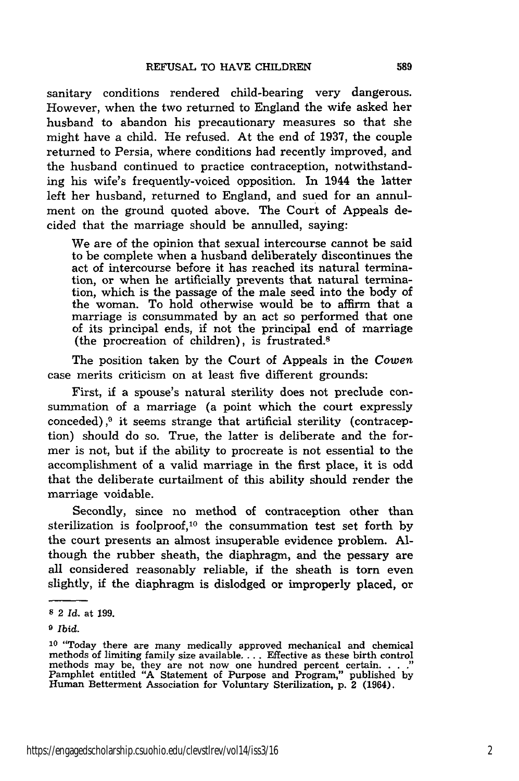sanitary conditions rendered child-bearing very dangerous. However, when the two returned to England the wife asked her husband to abandon his precautionary measures so that she might have a child. He refused. At the end of 1937, the couple returned to Persia, where conditions had recently improved, and the husband continued to practice contraception, notwithstanding his wife's frequently-voiced opposition. In 1944 the latter left her husband, returned to England, and sued for an annulment on the ground quoted above. The Court of Appeals decided that the marriage should be annulled, saying:

We are of the opinion that sexual intercourse cannot be said to be complete when a husband deliberately discontinues the act of intercourse before it has reached its natural termination, or when he artificially prevents that natural termination, which is the passage of the male seed into the body of the woman. To hold otherwise would be to affirm that a marriage is consummated by an act so performed that one of its principal ends, if not the principal end of marriage (the procreation of children), is frustrated.8

The position taken by the Court of Appeals in the *Cowen* case merits criticism on at least five different grounds:

First, if a spouse's natural sterility does not preclude consummation of a marriage (a point which the court expressly conceded), $9$  it seems strange that artificial sterility (contraception) should do so. True, the latter is deliberate and the former is not, but if the ability to procreate is not essential to the accomplishment of a valid marriage in the first place, it is odd that the deliberate curtailment of this ability should render the marriage voidable.

Secondly, since no method of contraception other than sterilization is foolproof,<sup>10</sup> the consummation test set forth by the court presents an almost insuperable evidence problem. Although the rubber sheath, the diaphragm, and the pessary are all considered reasonably reliable, if the sheath is torn even slightly, if the diaphragm is dislodged or improperly placed, or

**9** *Ibid.*

**<sup>8</sup>** 2 *Id.* at 199.

**<sup>10</sup>**"Today there are many medically approved mechanical and chemical methods of limiting family size available **....** Effective as these birth control methods may be, they are not now one hundred percent certain. . . .<sup>3</sup><br>Pamphlet entitled "A Statement of Purpose and Program," published by Human Betterment Association for Voluntary Sterilization, **p.** 2 (1964).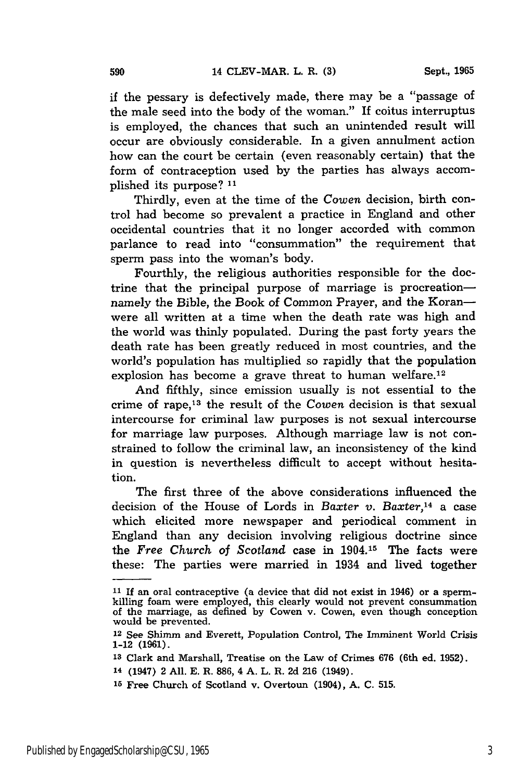if the pessary is defectively made, there may be a "passage of the male seed into the body of the woman." If coitus interruptus is employed, the chances that such an unintended result will occur are obviously considerable. In a given annulment action how can the court be certain (even reasonably certain) that the form of contraception used by the parties has always accomplished its purpose? **11**

Thirdly, even at the time of the *Cowen* decision, birth control had become so prevalent a practice in England and other occidental countries that it no longer accorded with common parlance to read into "consummation" the requirement that sperm pass into the woman's body.

Fourthly, the religious authorities responsible for the doctrine that the principal purpose of marriage is procreationnamely the Bible, the Book of Common Prayer, and the Koranwere all written at a time when the death rate was high and the world was thinly populated. During the past forty years the death rate has been greatly reduced in most countries, and the world's population has multiplied so rapidly that the population explosion has become a grave threat to human welfare.<sup>12</sup>

And fifthly, since emission usually is not essential to the crime of rape, 13 the result of the *Cowen* decision is that sexual intercourse for criminal law purposes is not sexual intercourse for marriage law purposes. Although marriage law is not constrained to follow the criminal law, an inconsistency of the kind in question is nevertheless difficult to accept without hesitation.

The first three of the above considerations influenced the decision of the House of Lords in *Baxter v. Baxter,14* a case which elicited more newspaper and periodical comment in England than any decision involving religious doctrine since the *Free Church of* Scotland case in 1904.15 The facts were these: The parties were married in 1934 and lived together

**<sup>11</sup>** If an oral contraceptive (a device that did not exist in 1946) or a spermkilling foam were employed, this clearly would not prevent consummation of the marriage, as defined by Cowen v. Cowen, even though conception would be prevented.

<sup>12</sup> See Shimm and Everett, Population Control, The Imminent World Crisis 1-12 **(1961).**

**<sup>13</sup>**Clark and Marshall, Treatise on the Law of Crimes **676** (6th ed. 1952).

**<sup>14</sup>**(1947) 2 All. **E.** R. **886,** 4 **A.** L. R. **2d 216** (1949).

**<sup>15</sup>**Free Church of Scotland v. Overtoun (1904), **A. C. 515.**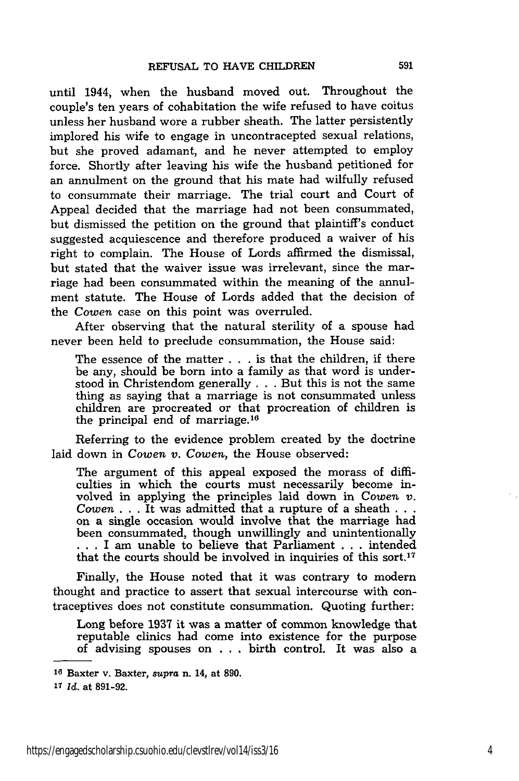until 1944, when the husband moved out. Throughout the couple's ten years of cohabitation the wife refused to have coitus unless her husband wore a rubber sheath. The latter persistently implored his wife to engage in uncontracepted sexual relations, but she proved adamant, and he never attempted to employ force. Shortly after leaving his wife the husband petitioned for an annulment on the ground that his mate had wilfully refused to consummate their marriage. The trial court and Court of Appeal decided that the marriage had not been consummated, but dismissed the petition on the ground that plaintiff's conduct suggested acquiescence and therefore produced a waiver of his right to complain. The House of Lords affirmed the dismissal, but stated that the waiver issue was irrelevant, since the marriage had been consummated within the meaning of the annulment statute. The House of Lords added that the decision of the Cowen case on this point was overruled.

After observing that the natural sterility of a spouse had never been held to preclude consummation, the House said:

The essence of the matter . . . is that the children, if there be any, should be born into a family as that word is understood in Christendom generally . . . But this is not the same thing as saying that a marriage is not consummated unless children are procreated or that procreation of children is the principal end of marriage. <sup>16</sup>

Referring to the evidence problem created by the doctrine laid down in *Cowen v. Cowen,* the House observed:

The argument of this appeal exposed the morass of difficulties in which the courts must necessarily become involved in applying the principles laid down in Cowen *v. Cowen* . . . It was admitted that a rupture of a sheath . **. .** on a single occasion would involve that the marriage had been consummated, though unwillingly and unintentionally ... I am unable to believe that Parliament ... intended that the courts should be involved in inquiries of this sort.<sup>17</sup>

Finally, the House noted that it was contrary to modern thought and practice to assert that sexual intercourse with contraceptives does not constitute consummation. Quoting further:

Long before **1937** it was a matter of common knowledge that reputable clinics had come into existence for the purpose of advising spouses on . . . birth control. It was also a

**<sup>16</sup>**Baxter v. Baxter, supra n. 14, at 890.

**<sup>&#</sup>x27;7** *Id.* at **891-92.**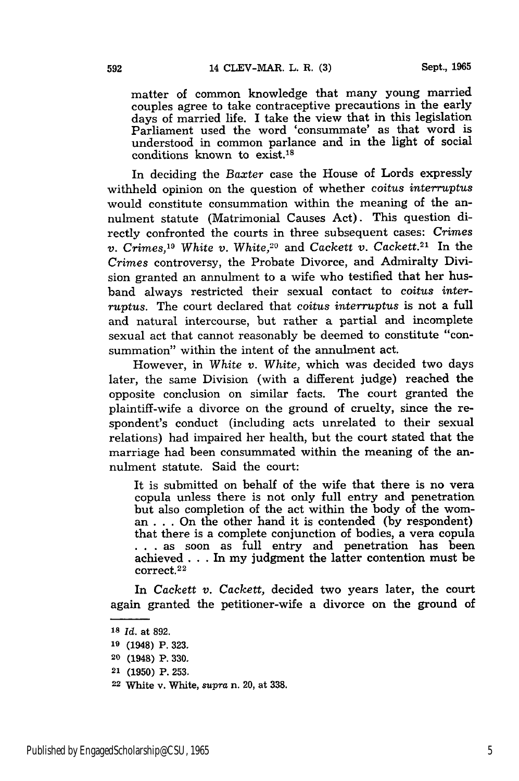matter of common knowledge that many young married couples agree to take contraceptive precautions in the early days of married life. I take the view that in this legislation Parliament used the word 'consummate' as that word is understood in common parlance and in the light of social conditions known to  $exist.<sup>18</sup>$ 

In deciding the *Baxter* case the House of Lords expressly withheld opinion on the question of whether *coitus interruptus* would constitute consummation within the meaning of the annulment statute (Matrimonial Causes Act). This question directly confronted the courts in three subsequent cases: *Crimes v. Crimes,1 White v. White,20* and *Cackett v. Cackett.21* In the *Crimes* controversy, the Probate Divorce, and Admiralty Division granted an annulment to a wife who testified that her husband always restricted their sexual contact to *coitus interruptus.* The court declared that coitus *interruptus* is not a full and natural intercourse, but rather a partial and incomplete sexual act that cannot reasonably be deemed to constitute "consummation" within the intent of the annulment act.

However, in White *v. White,* which was decided two days later, the same Division (with a different judge) reached the opposite conclusion on similar facts. The court granted the plaintiff-wife a divorce on the ground of cruelty, since the respondent's conduct (including acts unrelated to their sexual relations) had impaired her health, but the court stated that the marriage had been consummated within the meaning of the annulment statute. Said the court:

It is submitted on behalf of the wife that there is no vera copula unless there is not only full entry and penetration but also completion of the act within the body of the woman . . . On the other hand it is contended (by respondent) that there is a complete conjunction of bodies, a vera copula **...** as soon as full entry and penetration has been achieved . **..** In my judgment the latter contention must be  $correct.^{22}$ 

In *Cackett v. Cackett,* decided two years later, the court again granted the petitioner-wife a divorce on the ground of

**<sup>18</sup>***Id.* at 892.

**<sup>19</sup>**(1948) P. 323.

**<sup>20</sup>**(1948) P. **330.**

**<sup>21 (1950)</sup>** P. **253.**

**<sup>22</sup>** White v. White, *supra* n. 20, at **338.**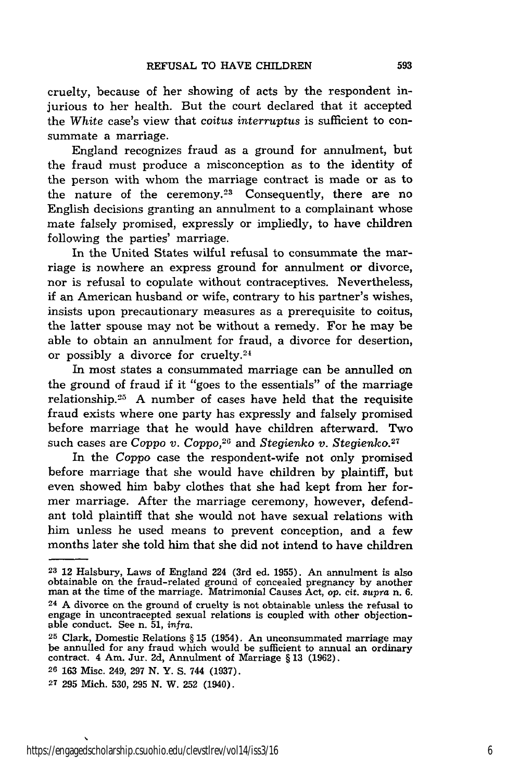cruelty, because of her showing of acts by the respondent injurious to her health. But the court declared that it accepted the *White* case's view that *coitus interruptus* is sufficient to consummate a marriage.

England recognizes fraud as a ground for annulment, but the fraud must produce a misconception as to the identity of the person with whom the marriage contract is made or as to the nature of the ceremony.<sup>23</sup> Consequently, there are no English decisions granting an annulment to a complainant whose mate falsely promised, expressly or impliedly, to have children following the parties' marriage.

In the United States wilful refusal to consummate the marriage is nowhere an express ground for annulment or divorce, nor is refusal to copulate without contraceptives. Nevertheless, if an American husband or wife, contrary to his partner's wishes, insists upon precautionary measures as a prerequisite to coitus, the latter spouse may not be without a remedy. For he may be able to obtain an annulment for fraud, a divorce for desertion, or possibly a divorce for cruelty. $24$ 

In most states a consummated marriage can be annulled on the ground of fraud if it "goes to the essentials" of the marriage relationship.25 A number of cases have held that the requisite fraud exists where one party has expressly and falsely promised before marriage that he would have children afterward. Two such cases are Coppo *v. Coppo,26* and *Stegienko v. Stegienko.27*

In the Coppo case the respondent-wife not only promised before marriage that she would have children by plaintiff, but even showed him baby clothes that she had kept from her former marriage. After the marriage ceremony, however, defendant told plaintiff that she would not have sexual relations with him unless he used means to prevent conception, and a few months later she told him that she did not intend to have children

**<sup>23</sup>**12 Halsbury, Laws of England 224 (3rd ed. **1955).** An annulment is also obtainable on the fraud-related ground of concealed pregnancy by another man at the time of the marriage. Matrimonial Causes Act, *op.* cit. *supra* n. 6. man at the time of the marriage. Matrimonial Causes Act, op. cit. supra n. 6.  $24$  A divorce on the ground of cruelty is not obtainable unless the refusal to engage in uncontracepted sexual relations is coupled with other objection- able conduct. See n. 51, *infra.*

**<sup>25</sup>**Clark, Domestic Relations § **15** (1954). An unconsummated marriage may be annulled for any fraud which would be sufficient to annual an ordinary contract. 4 Am. Jur. **2d,** Annulment **of** Marriage § **13 (1962).**

**<sup>26</sup>** 163 Misc. 249, **297** N. Y. **S.** 744 (1937).

**<sup>27 295</sup>** Mich. 530, **295** N. W. **252** (1940).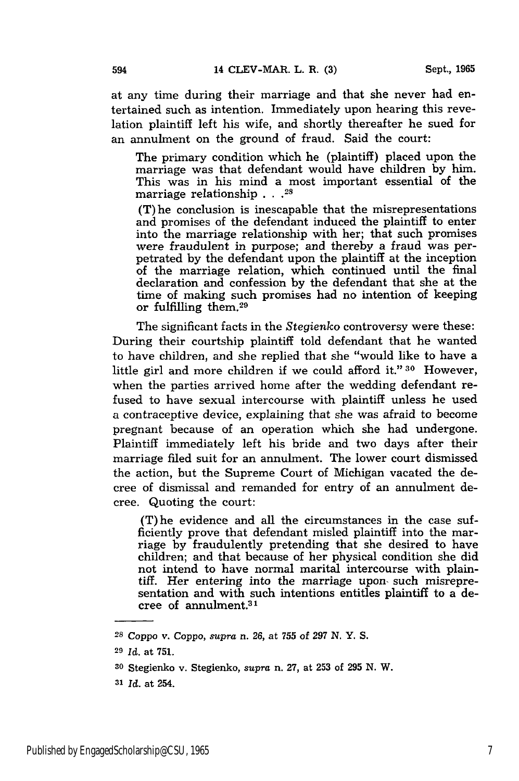at any time during their marriage and that she never had entertained such as intention. Immediately upon hearing this revelation plaintiff left his wife, and shortly thereafter he sued for an annulment on the ground of fraud. Said the court:

The primary condition which he (plaintiff) placed upon the marriage was that defendant would have children by him. This was in his mind a most important essential of the marriage relationship . . **.**<sup>2</sup>

(T) he conclusion is inescapable that the misrepresentations and promises of the defendant induced the plaintiff to enter into the marriage relationship with her; that such promises were fraudulent in purpose; and thereby a fraud was perpetrated by the defendant upon the plaintiff at the inception of the marriage relation, which continued until the final declaration and confession by the defendant that she at the time of making such promises had no intention of keeping or fulfilling them.<sup>29</sup>

The significant facts in the *Stegienko* controversy were these: During their courtship plaintiff told defendant that he wanted to have children, and she replied that she "would like to have a little girl and more children if we could afford it." **30** However, when the parties arrived home after the wedding defendant refused to have sexual intercourse with plaintiff unless he used a contraceptive device, explaining that she was afraid to become pregnant because of an operation which she had undergone. Plaintiff immediately left his bride and two days after their marriage filed suit for an annulment. The lower court dismissed the action, but the Supreme Court of Michigan vacated the decree of dismissal and remanded for entry of an annulment decree. Quoting the court:

(T)he evidence and all the circumstances in the case sufficiently prove that defendant misled plaintiff into the marriage by fraudulently pretending that she desired to have children; and that because of her physical condition she did not intend to have normal marital intercourse with plaintiff. Her entering into the marriage upon, such misrepresentation and with such intentions entitles plaintiff to a decree of annulment.3 1

**<sup>31</sup>***Id.* at 254.

*<sup>28</sup>*Coppo v. Coppo, *supra n.* 26, at 755 of **297** N. Y. S.

**<sup>29</sup>***Id.* at 751.

**<sup>30</sup>**Stegienko v. Stegienko, *supra* n. 27, at 253 of 295 **N.** W.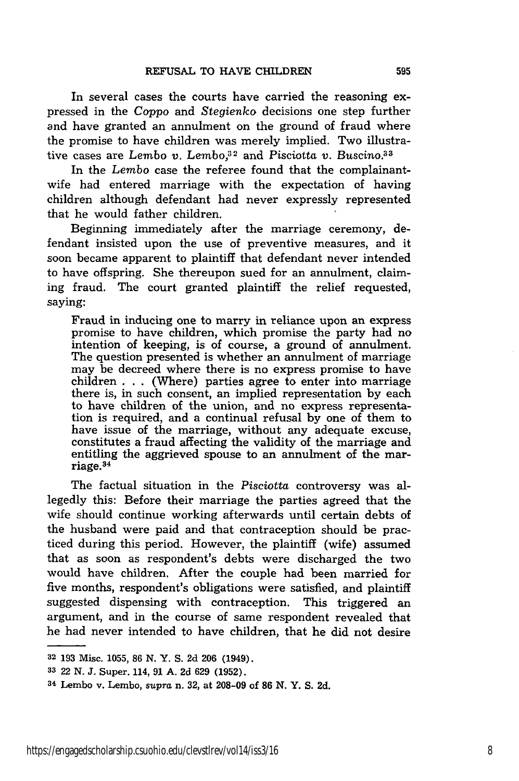In several cases the courts have carried the reasoning expressed in the *Coppo* and *Stegienko* decisions one step further and have granted an annulment on the ground of fraud where the promise to have children was merely implied. Two illustrative cases are *Lembo v. Lembo*,<sup>32</sup> and *Pisciotta v. Buscino*.<sup>33</sup>

In the *Lembo* case the referee found that the complainantwife had entered marriage with the expectation of having children although defendant had never expressly represented that he would father children.

Beginning immediately after the marriage ceremony, defendant insisted upon the use of preventive measures, and it soon became apparent to plaintiff that defendant never intended to have offspring. She thereupon sued for an annulment, claiming fraud. The court granted plaintiff the relief requested, saying:

Fraud in inducing one to marry in reliance upon an express promise to have children, which promise the party had no intention of keeping, is of course, a ground of annulment. The question presented is whether an annulment of marriage may be decreed where there is no express promise to have children . . . (Where) parties agree to enter into marriage there is, in such consent, an implied representation by each to have children of the union, and no express representation is required, and a continual refusal by one of them to have issue of the marriage, without any adequate excuse, constitutes a fraud affecting the validity of the marriage and entitling the aggrieved spouse to an annulment of the marriage. <sup>34</sup>

The factual situation in the *Pisciotta* controversy was allegedly this: Before their marriage the parties agreed that the wife should continue working afterwards until certain debts of the husband were paid and that contraception should be practiced during this period. However, the plaintiff (wife) assumed that as soon as respondent's debts were discharged the two would have children. After the couple had been married for five months, respondent's obligations were satisfied, and plaintiff suggested dispensing with contraception. This triggered an argument, and in the course of same respondent revealed that he had never intended to have children, that he did not desire

**<sup>32 193</sup>** Misc. **1055, 86 N.** Y. **S. 2d 206** (1949).

**<sup>33</sup>**22 **N. J.** Super. 114, **91 A. 2d 629 (1952).**

**<sup>34</sup>**Lembo v. Lembo, *supra* n. **32,** at **208-09** of **86 N.** Y. **S. 2d.**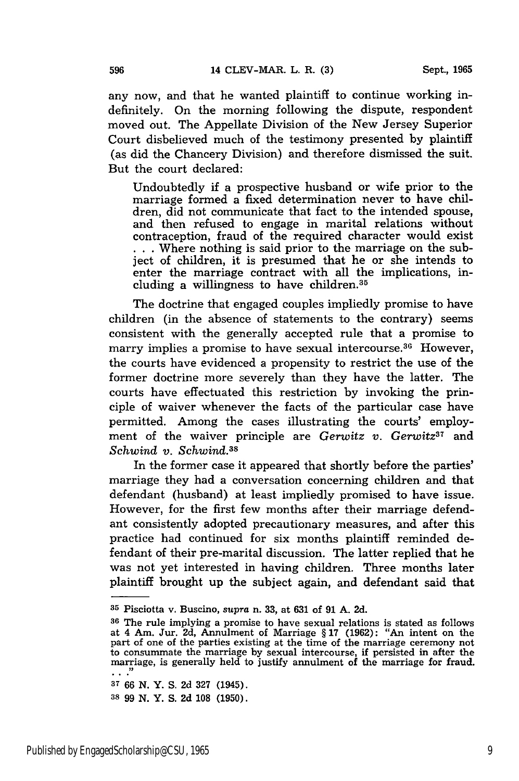any now, and that he wanted plaintiff to continue working indefinitely. On the morning following the dispute, respondent moved out. The Appellate Division of the New Jersey Superior Court disbelieved much of the testimony presented by plaintiff (as did the Chancery Division) and therefore dismissed the suit. But the court declared:

Undoubtedly if a prospective husband or wife prior to the marriage formed a fixed determination never to have children, did not communicate that fact to the intended spouse, and then refused to engage in marital relations without contraception, fraud of the required character would exist **... Where nothing is said prior to the marriage on the sub**ject of children, it is presumed that he or she intends to enter the marriage contract with all the implications, including a willingness to have children. <sup>35</sup>

The doctrine that engaged couples impliedly promise to have children (in the absence of statements to the contrary) seems consistent with the generally accepted rule that a promise to marry implies a promise to have sexual intercourse. $36$  However, the courts have evidenced a propensity to restrict the use of the former doctrine more severely than they have the latter. The courts have effectuated this restriction by invoking the principle of waiver whenever the facts of the particular case have permitted. Among the cases illustrating the courts' employment of the waiver principle are *Gerwitz v. Gerwitz37* and *Schwind v. Schwind.38*

In the former case it appeared that shortly before the parties' marriage they had a conversation concerning children and that defendant (husband) at least impliedly promised to have issue. However, for the first few months after their marriage defendant consistently adopted precautionary measures, and after this practice had continued for six months plaintiff reminded defendant of their pre-marital discussion. The latter replied that he was not yet interested in having children. Three months later plaintiff brought up the subject again, and defendant said that

**<sup>35</sup>**Pisciotta v. Buscino, *supra* n. **33,** at **631** of **91 A.** 2d.

**<sup>36</sup>**The rule implying a promise to have sexual relations is stated as follows at 4 Am. Jur. 2d, Annulment of Marriage § 17 (1962): "An intent on the part of one of the parties existing at the time of the marriage ceremony not to consummate the marriage by sexual intercourse, if persisted in after the marriage, is generally held to justify annulment of the marriage for fraud.

**<sup>37</sup>66 N.** Y. **S. 2d 327** (1945).

**<sup>38 99</sup> N.** Y. **S. 2d 108 (1950).**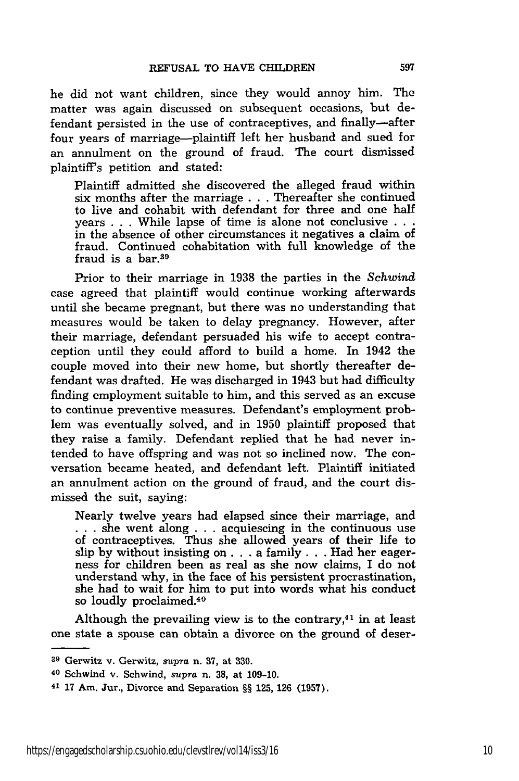he did not want children, since they would annoy him. The matter was again discussed on subsequent occasions, but defendant persisted in the use of contraceptives, and finally-after four years of marriage—plaintiff left her husband and sued for an annulment on the ground of fraud. The court dismissed plaintiff's petition and stated:

Plaintiff admitted she discovered the alleged fraud within six months after the marriage . . . Thereafter she continued to live and cohabit with defendant for three and one half years . . . While lapse of time is alone not conclusive **. . .** in the absence of other circumstances it negatives a claim of fraud. Continued cohabitation with full knowledge of the fraud is a bar.39

Prior to their marriage in 1938 the parties in the *Schwind* case agreed that plaintiff would continue working afterwards until she became pregnant, but there was no understanding that measures would be taken to delay pregnancy. However, after their marriage, defendant persuaded his wife to accept contraception until they could afford to build a home. In 1942 the couple moved into their new home, but shortly thereafter defendant was drafted. He was discharged in 1943 but had difficulty finding employment suitable to him, and this served as an excuse to continue preventive measures. Defendant's employment problem was eventually solved, and in 1950 plaintiff proposed that they raise a family. Defendant replied that he had never intended to have offspring and was not so inclined now. The conversation became heated, and defendant left. Plaintiff initiated an annulment action on the ground of fraud, and the court dismissed the suit, saying:

Nearly twelve years had elapsed since their marriage, and **. . .** she went along . . . acquiescing in the continuous use of contraceptives. Thus she allowed years of their life to slip by without insisting **on. .** . a family. **.** . Had her eagerness for children been as real as she now claims, I do not understand why, in the face of his persistent procrastination, she had to wait for him to put into words what his conduct so loudly proclaimed.<sup>40</sup>

Although the prevailing view is to the contrary, $41$  in at least one state a spouse can obtain a divorce on the ground of deser-

**<sup>39</sup>**Gerwitz v. Gerwitz, *supra* n. **37,** at **330.**

**<sup>40</sup>**Schwind v. Schwind, *supra* n. **38,** at 109-10.

<sup>41 17</sup> Am. Jur., Divorce and Separation §§ 125, **126** (1957).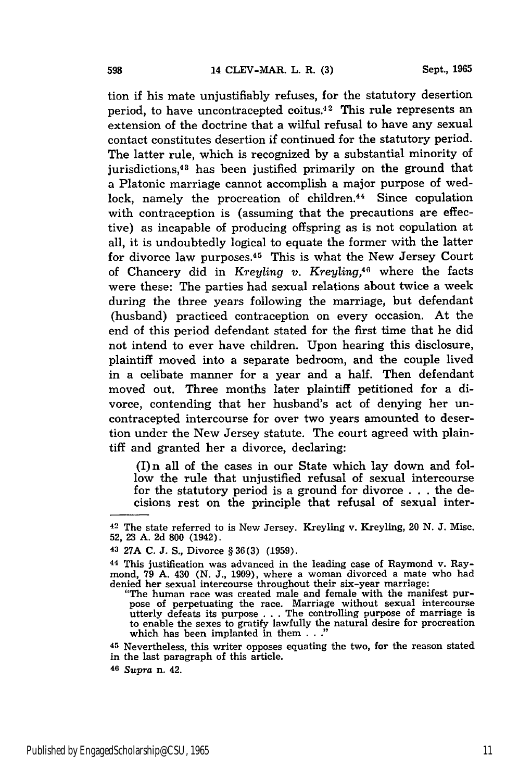**Sept., 1965**

tion if his mate unjustifiably refuses, for the statutory desertion period, to have uncontracepted coitus.<sup>42</sup> This rule represents an extension of the doctrine that a wilful refusal to have any sexual contact constitutes desertion if continued for the statutory period. The latter rule, which is recognized by a substantial minority of jurisdictions, 43 has been justified primarily on the ground that a Platonic marriage cannot accomplish a major purpose of wedlock, namely the procreation of children.<sup>44</sup> Since copulation with contraception is (assuming that the precautions are effective) as incapable of producing offspring as is not copulation at all, it is undoubtedly logical to equate the former with the latter for divorce law purposes.45 This is what the New Jersey Court of Chancery did in *Kreyling v. Kreyling,40* where the facts were these: The parties had sexual relations about twice a week during the three years following the marriage, but defendant (husband) practiced contraception on every occasion. At the end of this period defendant stated for the first time that he did not intend to ever have children. Upon hearing this disclosure, plaintiff moved into a separate bedroom, and the couple lived in a celibate manner for a year and a half. Then defendant moved out. Three months later plaintiff petitioned for a divorce, contending that her husband's act of denying her uncontracepted intercourse for over two years amounted to desertion under the New Jersey statute. The court agreed with plaintiff and granted her a divorce, declaring:

(I) n all of the cases in our State which lay down and follow the rule that unjustified refusal of sexual intercourse for the statutory period is a ground for divorce . . . the decisions rest on the principle that refusal of sexual inter-

**<sup>42</sup>**The state referred to is New Jersey. Kreyling v. Kreyling, 20 **N. J.** Misc. 52, **23** A. 2d **800** (1942).

<sup>43 27</sup>A **C.** J. S., Divorce § 36(3) (1959).

**<sup>44</sup>** This justification was advanced in the leading case of Raymond v. Raymond, 79 A. 430 (N. **J.,** 1909), where a woman divorced a mate who had denied her sexual intercourse throughout their six-year marriage: "The human race was created male and female with the manifest pur-

pose of perpetuating the race. Marriage without sexual intercourse utterly defeats its purpose . . . The controlling purpose of marriage is to enable the sexes to gratify lawfully the natural desire for procreation which has been implanted in them  $\ldots$ 

**<sup>45</sup>**Nevertheless, this writer opposes equating the two, for the reason stated in the last paragraph of this article.

**<sup>46</sup>***Supra* n. 42.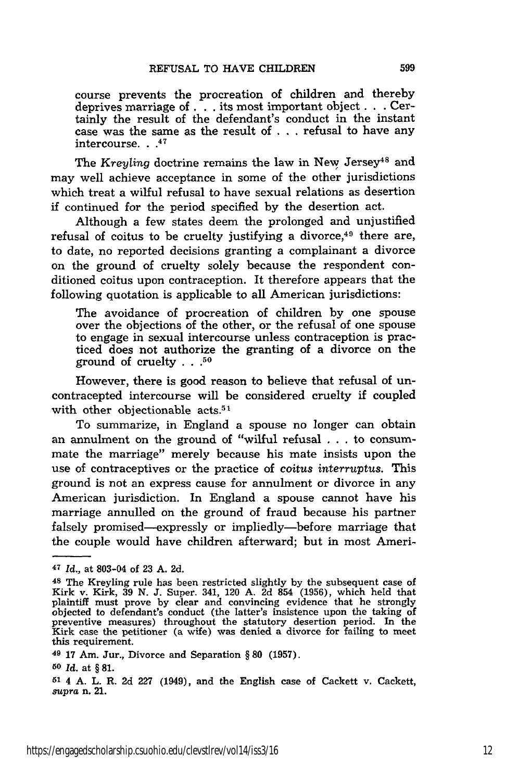course prevents the procreation of children and thereby deprives marriage of **. .** . its most important object **. .** . Certainly the result of the defendant's conduct in the instant case was the same as the result of . . **.** refusal to have any intercourse. **.. 4**

The *Kreyling* doctrine remains the law in New Jersey<sup>48</sup> and may well achieve acceptance in some of the other jurisdictions which treat a wilful refusal to have sexual relations as desertion if continued for the period specified by the desertion act.

Although a few states deem the prolonged and unjustified refusal of coitus to be cruelty justifying a divorce, $49$  there are, to date, no reported decisions granting a complainant a divorce on the ground of cruelty solely because the respondent conditioned coitus upon contraception. It therefore appears that the following quotation is applicable to all American jurisdictions:

The avoidance of procreation of children by one spouse over the objections of the other, or the refusal of one spouse to engage in sexual intercourse unless contraception is practiced does not authorize the granting of a divorce on the ground of cruelty **. . .50**

However, there is good reason to believe that refusal of uncontracepted intercourse will be considered cruelty if coupled with other objectionable acts.<sup>51</sup>

To summarize, in England a spouse no longer can obtain an annulment on the ground of "wilful refusal . . . to consummate the marriage" merely because his mate insists upon the use of contraceptives or the practice of *coitus interruptus.* This ground is not an express cause for annulment or divorce in any American jurisdiction. In England a spouse cannot have his marriage annulled on the ground of fraud because his partner falsely promised—expressly or impliedly—before marriage that the couple would have children afterward; but in most Ameri-

**<sup>47</sup>***Id.,* at 803-04 of 23 A. 2d.

**<sup>48</sup>**The Kreyling rule has been restricted slightly by the subsequent case of Kirk v. Kirk, 39 **N.** J. Super. 341, 120 A. 2d 854 (1956), which held that plaintiff must prove by clear and convincing evidence that he strongly objected to defendant's conduct (the latter's insistence upon the taking of preventive measures) throughout the statutory desertion period. In the Kirk case the petitioner (a wife) was denied a divorce for failing to meet this requirement.

**<sup>49</sup>**17 Am. Jur., Divorce and Separation § **80** (1957).

**<sup>50</sup>** *Id.* at § **81.**

*<sup>51</sup>*4 A. L. R. 2d 227 (1949), and the English case of Cackett v. Cackett, *supra* n. 21.